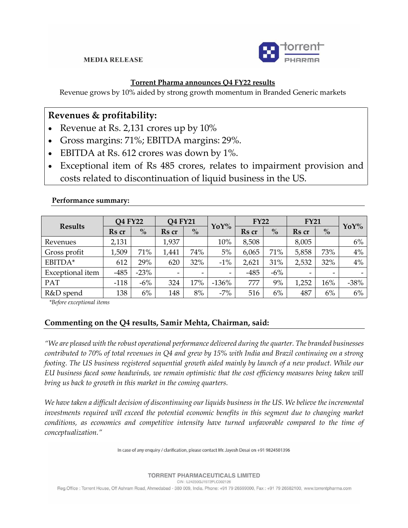### **MEDIA RELEASE**



## **Torrent Pharma announces Q4 FY22 results**

Revenue grows by 10% aided by strong growth momentum in Branded Generic markets

# **Revenues & profitability:**

- Revenue at Rs. 2,131 crores up by 10%
- Gross margins: 71%; EBITDA margins: 29%.
- EBITDA at Rs. 612 crores was down by 1%.
- Exceptional item of Rs 485 crores, relates to impairment provision and costs related to discontinuation of liquid business in the US.

| <b>Results</b>   | <b>Q4 FY22</b> |        | Q4 FY21                  |               | $YoY\%$         | FY22   |               | <b>FY21</b> |               |        |
|------------------|----------------|--------|--------------------------|---------------|-----------------|--------|---------------|-------------|---------------|--------|
|                  | Rs cr          | $\%$   | Rs cr                    | $\frac{6}{6}$ |                 | Rs cr  | $\frac{6}{6}$ | Rs cr       | $\frac{6}{9}$ | YoY%   |
| Revenues         | 2,131          |        | 1,937                    |               | 10%             | 8,508  |               | 8,005       |               | 6%     |
| Gross profit     | .509           | 71%    | 1,441                    | 74%           | 5%              | 6,065  | 71%           | 5,858       | 73%           | 4%     |
| EBITDA*          | 612            | 29%    | 620                      | 32%           | $-1\%$          | 2,621  | 31%           | 2,532       | 32%           | 4%     |
| Exceptional item | $-485$         | $-23%$ | $\overline{\phantom{0}}$ |               | $\qquad \qquad$ | $-485$ | $-6\%$        |             |               |        |
| PAT              | $-118$         | $-6\%$ | 324                      | 17%           | $-136%$         | 777    | 9%            | 1,252       | 16%           | $-38%$ |
| R&D spend        | 138            | 6%     | 148                      | 8%            | $-7%$           | 516    | 6%            | 487         | 6%            | 6%     |

#### **Performance summary:**

*\*Before exceptional items*

## **Commenting on the Q4 results, Samir Mehta, Chairman, said:**

*"We are pleased with the robust operational performance delivered during the quarter. The branded businesses contributed to 70% of total revenues in Q4 and grew by 15% with India and Brazil continuing on a strong footing. The US business registered sequential growth aided mainly by launch of a new product. While our EU business faced some headwinds, we remain optimistic that the cost efficiency measures being taken will bring us back to growth in this market in the coming quarters.*

*We have taken a difficult decision of discontinuing our liquids business in the US. We believe the incremental investments required will exceed the potential economic benefits in this segment due to changing market conditions, as economics and competitive intensity have turned unfavorable compared to the time of conceptualization."*

In case of any enquiry / clarification, please contact Mr. Jayesh Desai on +91 9824501396

**TORRENT PHARMACEUTICALS LIMITED** 

CIN: L24230GJ1972PLC002126

Reg.Office : Torrent House, Off Ashram Road, Ahmedabad - 380 009, India. Phone: +91 79 26599000, Fax : +91 79 26582100, www.torrentpharma.com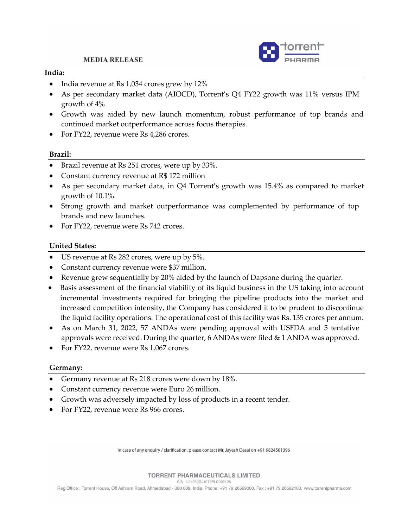**MEDIA RELEASE** 



### **India:**

- India revenue at Rs 1,034 crores grew by 12%
- As per secondary market data (AIOCD), Torrent's Q4 FY22 growth was 11% versus IPM growth of 4%
- Growth was aided by new launch momentum, robust performance of top brands and continued market outperformance across focus therapies.
- For FY22, revenue were Rs 4,286 crores.

### **Brazil:**

- Brazil revenue at Rs 251 crores, were up by 33%.
- Constant currency revenue at R\$ 172 million
- As per secondary market data, in Q4 Torrent's growth was 15.4% as compared to market growth of 10.1%.
- Strong growth and market outperformance was complemented by performance of top brands and new launches.
- For FY22, revenue were Rs 742 crores.

### **United States:**

- US revenue at Rs 282 crores, were up by 5%.
- Constant currency revenue were \$37 million.
- Revenue grew sequentially by 20% aided by the launch of Dapsone during the quarter.
- Basis assessment of the financial viability of its liquid business in the US taking into account incremental investments required for bringing the pipeline products into the market and increased competition intensity, the Company has considered it to be prudent to discontinue the liquid facility operations. The operational cost of this facility was Rs. 135 crores per annum.
- As on March 31, 2022, 57 ANDAs were pending approval with USFDA and 5 tentative approvals were received. During the quarter,  $6$  ANDAs were filed  $\&$  1 ANDA was approved.
- For FY22, revenue were Rs 1,067 crores.

### **Germany:**

- Germany revenue at Rs 218 crores were down by 18%.
- Constant currency revenue were Euro 26 million.
- Growth was adversely impacted by loss of products in a recent tender.
- For FY22, revenue were Rs 966 crores.

In case of any enquiry / clarification, please contact Mr. Jayesh Desai on +91 9824501396

#### **TORRENT PHARMACEUTICALS LIMITED**

CIN: L24230GJ1972PLC002126

Reg.Office : Torrent House, Off Ashram Road, Ahmedabad - 380 009, India. Phone: +91 79 26599000, Fax: +91 79 26582100, www.torrentpharma.com